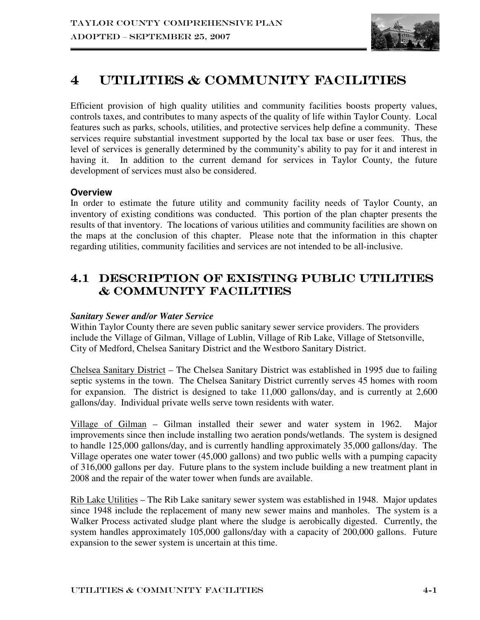

# 4 UTILITIES & COMMUNITY FACILITIES

Efficient provision of high quality utilities and community facilities boosts property values, controls taxes, and contributes to many aspects of the quality of life within Taylor County. Local features such as parks, schools, utilities, and protective services help define a community. These services require substantial investment supported by the local tax base or user fees. Thus, the level of services is generally determined by the community's ability to pay for it and interest in having it. In addition to the current demand for services in Taylor County, the future development of services must also be considered.

## **Overview**

In order to estimate the future utility and community facility needs of Taylor County, an inventory of existing conditions was conducted. This portion of the plan chapter presents the results of that inventory. The locations of various utilities and community facilities are shown on the maps at the conclusion of this chapter. Please note that the information in this chapter regarding utilities, community facilities and services are not intended to be all-inclusive.

# 4.1 DESCRIPTION OF EXISTING PUBLIC UTILITIES & Community Facilities

## *Sanitary Sewer and/or Water Service*

Within Taylor County there are seven public sanitary sewer service providers. The providers include the Village of Gilman, Village of Lublin, Village of Rib Lake, Village of Stetsonville, City of Medford, Chelsea Sanitary District and the Westboro Sanitary District.

Chelsea Sanitary District – The Chelsea Sanitary District was established in 1995 due to failing septic systems in the town. The Chelsea Sanitary District currently serves 45 homes with room for expansion. The district is designed to take 11,000 gallons/day, and is currently at 2,600 gallons/day. Individual private wells serve town residents with water.

Village of Gilman – Gilman installed their sewer and water system in 1962. Major improvements since then include installing two aeration ponds/wetlands. The system is designed to handle 125,000 gallons/day, and is currently handling approximately 35,000 gallons/day. The Village operates one water tower (45,000 gallons) and two public wells with a pumping capacity of 316,000 gallons per day. Future plans to the system include building a new treatment plant in 2008 and the repair of the water tower when funds are available.

Rib Lake Utilities – The Rib Lake sanitary sewer system was established in 1948. Major updates since 1948 include the replacement of many new sewer mains and manholes. The system is a Walker Process activated sludge plant where the sludge is aerobically digested. Currently, the system handles approximately 105,000 gallons/day with a capacity of 200,000 gallons. Future expansion to the sewer system is uncertain at this time.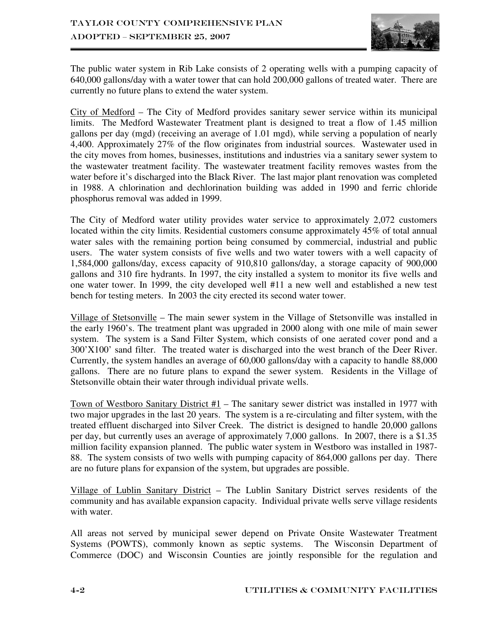

The public water system in Rib Lake consists of 2 operating wells with a pumping capacity of 640,000 gallons/day with a water tower that can hold 200,000 gallons of treated water. There are currently no future plans to extend the water system.

City of Medford – The City of Medford provides sanitary sewer service within its municipal limits. The Medford Wastewater Treatment plant is designed to treat a flow of 1.45 million gallons per day (mgd) (receiving an average of 1.01 mgd), while serving a population of nearly 4,400. Approximately 27% of the flow originates from industrial sources. Wastewater used in the city moves from homes, businesses, institutions and industries via a sanitary sewer system to the wastewater treatment facility. The wastewater treatment facility removes wastes from the water before it's discharged into the Black River. The last major plant renovation was completed in 1988. A chlorination and dechlorination building was added in 1990 and ferric chloride phosphorus removal was added in 1999.

The City of Medford water utility provides water service to approximately 2,072 customers located within the city limits. Residential customers consume approximately 45% of total annual water sales with the remaining portion being consumed by commercial, industrial and public users. The water system consists of five wells and two water towers with a well capacity of 1,584,000 gallons/day, excess capacity of 910,810 gallons/day, a storage capacity of 900,000 gallons and 310 fire hydrants. In 1997, the city installed a system to monitor its five wells and one water tower. In 1999, the city developed well #11 a new well and established a new test bench for testing meters. In 2003 the city erected its second water tower.

Village of Stetsonville – The main sewer system in the Village of Stetsonville was installed in the early 1960's. The treatment plant was upgraded in 2000 along with one mile of main sewer system. The system is a Sand Filter System, which consists of one aerated cover pond and a 300'X100' sand filter. The treated water is discharged into the west branch of the Deer River. Currently, the system handles an average of 60,000 gallons/day with a capacity to handle 88,000 gallons. There are no future plans to expand the sewer system. Residents in the Village of Stetsonville obtain their water through individual private wells.

Town of Westboro Sanitary District  $#1$  – The sanitary sewer district was installed in 1977 with two major upgrades in the last 20 years. The system is a re-circulating and filter system, with the treated effluent discharged into Silver Creek. The district is designed to handle 20,000 gallons per day, but currently uses an average of approximately 7,000 gallons. In 2007, there is a \$1.35 million facility expansion planned. The public water system in Westboro was installed in 1987- 88. The system consists of two wells with pumping capacity of 864,000 gallons per day. There are no future plans for expansion of the system, but upgrades are possible.

Village of Lublin Sanitary District – The Lublin Sanitary District serves residents of the community and has available expansion capacity. Individual private wells serve village residents with water.

All areas not served by municipal sewer depend on Private Onsite Wastewater Treatment Systems (POWTS), commonly known as septic systems. The Wisconsin Department of Commerce (DOC) and Wisconsin Counties are jointly responsible for the regulation and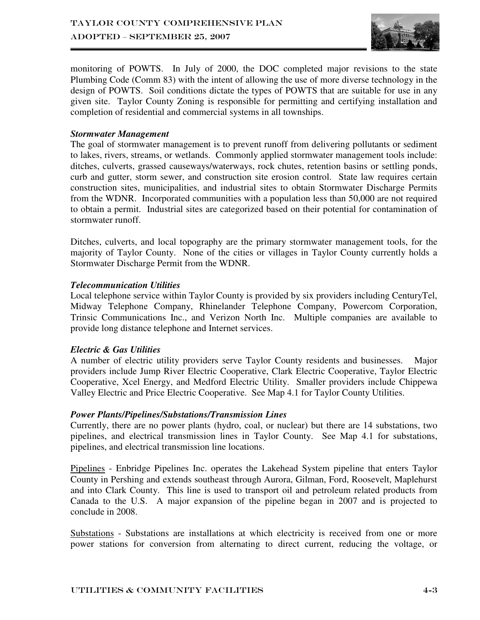

monitoring of POWTS. In July of 2000, the DOC completed major revisions to the state Plumbing Code (Comm 83) with the intent of allowing the use of more diverse technology in the design of POWTS. Soil conditions dictate the types of POWTS that are suitable for use in any given site. Taylor County Zoning is responsible for permitting and certifying installation and completion of residential and commercial systems in all townships.

#### *Stormwater Management*

The goal of stormwater management is to prevent runoff from delivering pollutants or sediment to lakes, rivers, streams, or wetlands. Commonly applied stormwater management tools include: ditches, culverts, grassed causeways/waterways, rock chutes, retention basins or settling ponds, curb and gutter, storm sewer, and construction site erosion control. State law requires certain construction sites, municipalities, and industrial sites to obtain Stormwater Discharge Permits from the WDNR. Incorporated communities with a population less than 50,000 are not required to obtain a permit. Industrial sites are categorized based on their potential for contamination of stormwater runoff.

Ditches, culverts, and local topography are the primary stormwater management tools, for the majority of Taylor County. None of the cities or villages in Taylor County currently holds a Stormwater Discharge Permit from the WDNR.

#### *Telecommunication Utilities*

Local telephone service within Taylor County is provided by six providers including CenturyTel, Midway Telephone Company, Rhinelander Telephone Company, Powercom Corporation, Trinsic Communications Inc., and Verizon North Inc. Multiple companies are available to provide long distance telephone and Internet services.

## *Electric & Gas Utilities*

A number of electric utility providers serve Taylor County residents and businesses. Major providers include Jump River Electric Cooperative, Clark Electric Cooperative, Taylor Electric Cooperative, Xcel Energy, and Medford Electric Utility. Smaller providers include Chippewa Valley Electric and Price Electric Cooperative. See Map 4.1 for Taylor County Utilities.

#### *Power Plants/Pipelines/Substations/Transmission Lines*

Currently, there are no power plants (hydro, coal, or nuclear) but there are 14 substations, two pipelines, and electrical transmission lines in Taylor County. See Map 4.1 for substations, pipelines, and electrical transmission line locations.

Pipelines - Enbridge Pipelines Inc. operates the Lakehead System pipeline that enters Taylor County in Pershing and extends southeast through Aurora, Gilman, Ford, Roosevelt, Maplehurst and into Clark County. This line is used to transport oil and petroleum related products from Canada to the U.S. A major expansion of the pipeline began in 2007 and is projected to conclude in 2008.

Substations - Substations are installations at which electricity is received from one or more power stations for conversion from alternating to direct current, reducing the voltage, or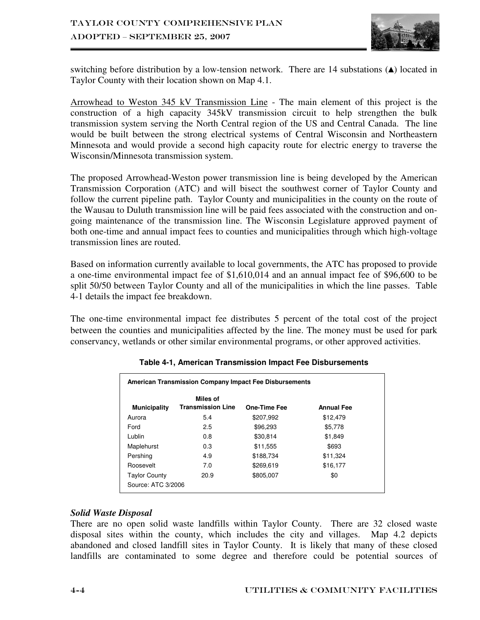

switching before distribution by a low-tension network. There are 14 substations (▲) located in Taylor County with their location shown on Map 4.1.

Arrowhead to Weston 345 kV Transmission Line - The main element of this project is the construction of a high capacity 345kV transmission circuit to help strengthen the bulk transmission system serving the North Central region of the US and Central Canada. The line would be built between the strong electrical systems of Central Wisconsin and Northeastern Minnesota and would provide a second high capacity route for electric energy to traverse the Wisconsin/Minnesota transmission system.

The proposed Arrowhead-Weston power transmission line is being developed by the American Transmission Corporation (ATC) and will bisect the southwest corner of Taylor County and follow the current pipeline path. Taylor County and municipalities in the county on the route of the Wausau to Duluth transmission line will be paid fees associated with the construction and ongoing maintenance of the transmission line. The Wisconsin Legislature approved payment of both one-time and annual impact fees to counties and municipalities through which high-voltage transmission lines are routed.

Based on information currently available to local governments, the ATC has proposed to provide a one-time environmental impact fee of \$1,610,014 and an annual impact fee of \$96,600 to be split 50/50 between Taylor County and all of the municipalities in which the line passes. Table 4-1 details the impact fee breakdown.

The one-time environmental impact fee distributes 5 percent of the total cost of the project between the counties and municipalities affected by the line. The money must be used for park conservancy, wetlands or other similar environmental programs, or other approved activities.

| <b>Municipality</b>          | Miles of<br><b>Transmission Line</b> | <b>One-Time Fee</b> | <b>Annual Fee</b> |  |
|------------------------------|--------------------------------------|---------------------|-------------------|--|
| Aurora                       | 5.4                                  | \$207.992           | \$12,479          |  |
| Ford                         | 2.5                                  | \$96,293            | \$5,778           |  |
| Lublin                       | 0.8                                  | \$30,814            | \$1.849           |  |
| Maplehurst                   | 0.3                                  | \$11,555            | \$693             |  |
| Pershing                     | 4.9                                  | \$188,734           | \$11,324          |  |
| Roosevelt                    | 7.0                                  | \$269.619           | \$16,177          |  |
| 20.9<br><b>Taylor County</b> |                                      | \$805,007           | \$0               |  |
| Source: ATC 3/2006           |                                      |                     |                   |  |

**Table 4-1, American Transmission Impact Fee Disbursements** 

## *Solid Waste Disposal*

There are no open solid waste landfills within Taylor County. There are 32 closed waste disposal sites within the county, which includes the city and villages. Map 4.2 depicts abandoned and closed landfill sites in Taylor County. It is likely that many of these closed landfills are contaminated to some degree and therefore could be potential sources of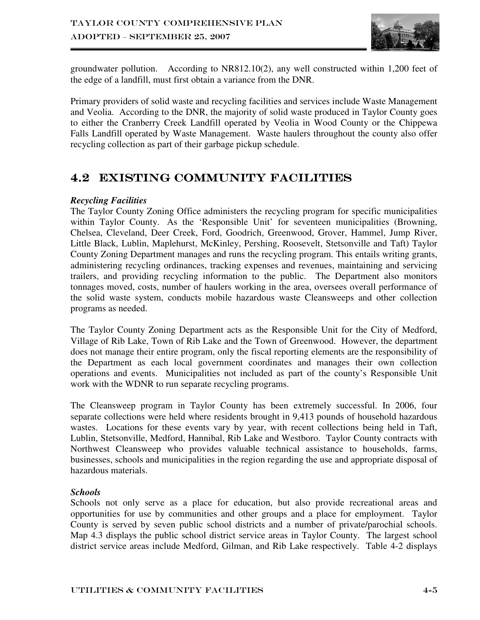

groundwater pollution. According to NR812.10(2), any well constructed within 1,200 feet of the edge of a landfill, must first obtain a variance from the DNR.

Primary providers of solid waste and recycling facilities and services include Waste Management and Veolia. According to the DNR, the majority of solid waste produced in Taylor County goes to either the Cranberry Creek Landfill operated by Veolia in Wood County or the Chippewa Falls Landfill operated by Waste Management. Waste haulers throughout the county also offer recycling collection as part of their garbage pickup schedule.

# 4.2 EXISTING COMMUNITY FACILITIES

## *Recycling Facilities*

The Taylor County Zoning Office administers the recycling program for specific municipalities within Taylor County. As the 'Responsible Unit' for seventeen municipalities (Browning, Chelsea, Cleveland, Deer Creek, Ford, Goodrich, Greenwood, Grover, Hammel, Jump River, Little Black, Lublin, Maplehurst, McKinley, Pershing, Roosevelt, Stetsonville and Taft) Taylor County Zoning Department manages and runs the recycling program. This entails writing grants, administering recycling ordinances, tracking expenses and revenues, maintaining and servicing trailers, and providing recycling information to the public. The Department also monitors tonnages moved, costs, number of haulers working in the area, oversees overall performance of the solid waste system, conducts mobile hazardous waste Cleansweeps and other collection programs as needed.

The Taylor County Zoning Department acts as the Responsible Unit for the City of Medford, Village of Rib Lake, Town of Rib Lake and the Town of Greenwood. However, the department does not manage their entire program, only the fiscal reporting elements are the responsibility of the Department as each local government coordinates and manages their own collection operations and events. Municipalities not included as part of the county's Responsible Unit work with the WDNR to run separate recycling programs.

The Cleansweep program in Taylor County has been extremely successful. In 2006, four separate collections were held where residents brought in 9,413 pounds of household hazardous wastes. Locations for these events vary by year, with recent collections being held in Taft, Lublin, Stetsonville, Medford, Hannibal, Rib Lake and Westboro. Taylor County contracts with Northwest Cleansweep who provides valuable technical assistance to households, farms, businesses, schools and municipalities in the region regarding the use and appropriate disposal of hazardous materials.

## *Schools*

Schools not only serve as a place for education, but also provide recreational areas and opportunities for use by communities and other groups and a place for employment. Taylor County is served by seven public school districts and a number of private/parochial schools. Map 4.3 displays the public school district service areas in Taylor County. The largest school district service areas include Medford, Gilman, and Rib Lake respectively. Table 4-2 displays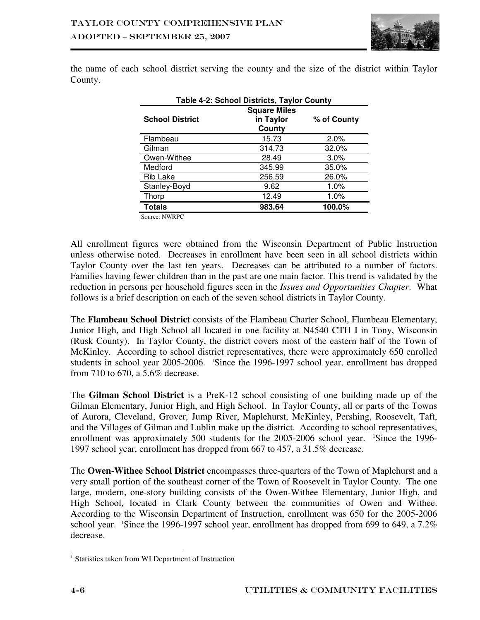

the name of each school district serving the county and the size of the district within Taylor County.

| Table 4-2: School Districts, Taylor County |                                            |             |  |  |
|--------------------------------------------|--------------------------------------------|-------------|--|--|
| <b>School District</b>                     | <b>Square Miles</b><br>in Taylor<br>County | % of County |  |  |
| Flambeau                                   | 15.73                                      | 2.0%        |  |  |
| Gilman                                     | 314.73                                     | 32.0%       |  |  |
| Owen-Withee                                | 28.49                                      | $3.0\%$     |  |  |
| Medford                                    | 345.99                                     | 35.0%       |  |  |
| Rib Lake                                   | 256.59                                     | 26.0%       |  |  |
| Stanley-Boyd                               | 9.62                                       | 1.0%        |  |  |
| Thorp                                      | 12.49                                      | 1.0%        |  |  |
| <b>Totals</b>                              | 983.64                                     | 100.0%      |  |  |

Source: NWRPC

All enrollment figures were obtained from the Wisconsin Department of Public Instruction unless otherwise noted. Decreases in enrollment have been seen in all school districts within Taylor County over the last ten years. Decreases can be attributed to a number of factors. Families having fewer children than in the past are one main factor. This trend is validated by the reduction in persons per household figures seen in the *Issues and Opportunities Chapter*. What follows is a brief description on each of the seven school districts in Taylor County.

The **Flambeau School District** consists of the Flambeau Charter School, Flambeau Elementary, Junior High, and High School all located in one facility at N4540 CTH I in Tony, Wisconsin (Rusk County). In Taylor County, the district covers most of the eastern half of the Town of McKinley. According to school district representatives, there were approximately 650 enrolled students in school year 2005-2006. <sup>1</sup>Since the 1996-1997 school year, enrollment has dropped from 710 to 670, a 5.6% decrease.

The **Gilman School District** is a PreK-12 school consisting of one building made up of the Gilman Elementary, Junior High, and High School. In Taylor County, all or parts of the Towns of Aurora, Cleveland, Grover, Jump River, Maplehurst, McKinley, Pershing, Roosevelt, Taft, and the Villages of Gilman and Lublin make up the district. According to school representatives, enrollment was approximately 500 students for the 2005-2006 school year. <sup>1</sup>Since the 1996-1997 school year, enrollment has dropped from 667 to 457, a 31.5% decrease.

The **Owen-Withee School District** encompasses three-quarters of the Town of Maplehurst and a very small portion of the southeast corner of the Town of Roosevelt in Taylor County. The one large, modern, one-story building consists of the Owen-Withee Elementary, Junior High, and High School, located in Clark County between the communities of Owen and Withee. According to the Wisconsin Department of Instruction, enrollment was 650 for the 2005-2006 school year. <sup>1</sup>Since the 1996-1997 school year, enrollment has dropped from 699 to 649, a 7.2% decrease.

 $\overline{a}$ 

<sup>&</sup>lt;sup>1</sup> Statistics taken from WI Department of Instruction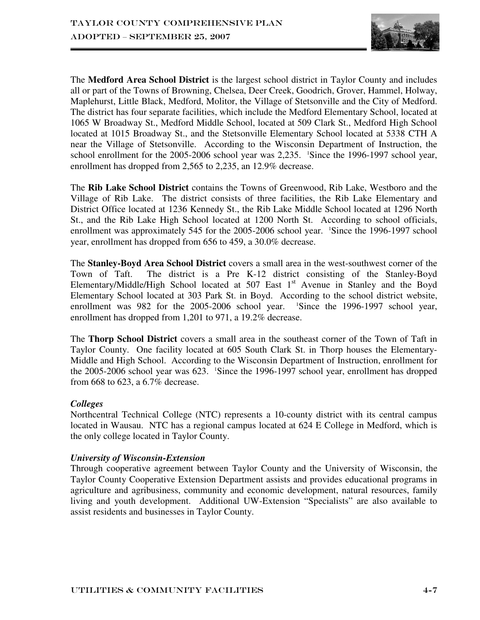

The **Medford Area School District** is the largest school district in Taylor County and includes all or part of the Towns of Browning, Chelsea, Deer Creek, Goodrich, Grover, Hammel, Holway, Maplehurst, Little Black, Medford, Molitor, the Village of Stetsonville and the City of Medford. The district has four separate facilities, which include the Medford Elementary School, located at 1065 W Broadway St., Medford Middle School, located at 509 Clark St., Medford High School located at 1015 Broadway St., and the Stetsonville Elementary School located at 5338 CTH A near the Village of Stetsonville. According to the Wisconsin Department of Instruction, the school enrollment for the 2005-2006 school year was 2,235. <sup>1</sup>Since the 1996-1997 school year, enrollment has dropped from 2,565 to 2,235, an 12.9% decrease.

The **Rib Lake School District** contains the Towns of Greenwood, Rib Lake, Westboro and the Village of Rib Lake. The district consists of three facilities, the Rib Lake Elementary and District Office located at 1236 Kennedy St., the Rib Lake Middle School located at 1296 North St., and the Rib Lake High School located at 1200 North St. According to school officials, enrollment was approximately 545 for the 2005-2006 school year. <sup>1</sup>Since the 1996-1997 school year, enrollment has dropped from 656 to 459, a 30.0% decrease.

The **Stanley-Boyd Area School District** covers a small area in the west-southwest corner of the Town of Taft. The district is a Pre K-12 district consisting of the Stanley-Boyd Elementary/Middle/High School located at 507 East  $1<sup>st</sup>$  Avenue in Stanley and the Boyd Elementary School located at 303 Park St. in Boyd. According to the school district website, enrollment was  $982$  for the  $2005$ - $2006$  school year. <sup>1</sup>Since the 1996-1997 school year, enrollment has dropped from 1,201 to 971, a 19.2% decrease.

The **Thorp School District** covers a small area in the southeast corner of the Town of Taft in Taylor County. One facility located at 605 South Clark St. in Thorp houses the Elementary-Middle and High School. According to the Wisconsin Department of Instruction, enrollment for the 2005-2006 school year was 623. <sup>1</sup>Since the 1996-1997 school year, enrollment has dropped from 668 to 623, a 6.7% decrease.

## *Colleges*

Northcentral Technical College (NTC) represents a 10-county district with its central campus located in Wausau. NTC has a regional campus located at 624 E College in Medford, which is the only college located in Taylor County.

## *University of Wisconsin-Extension*

Through cooperative agreement between Taylor County and the University of Wisconsin, the Taylor County Cooperative Extension Department assists and provides educational programs in agriculture and agribusiness, community and economic development, natural resources, family living and youth development. Additional UW-Extension "Specialists" are also available to assist residents and businesses in Taylor County.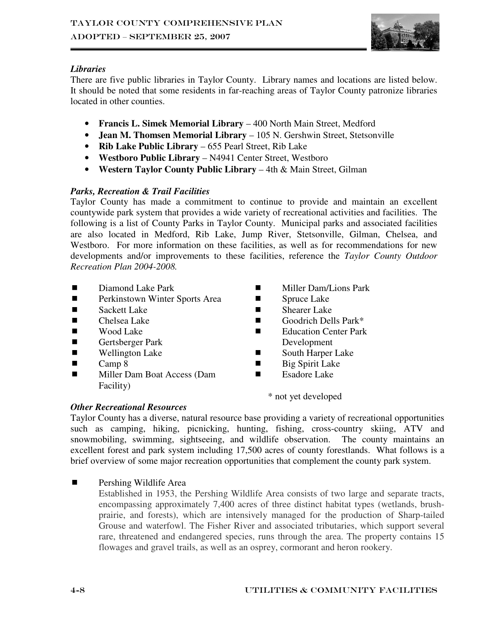

## *Libraries*

There are five public libraries in Taylor County. Library names and locations are listed below. It should be noted that some residents in far-reaching areas of Taylor County patronize libraries located in other counties.

- **Francis L. Simek Memorial Library** 400 North Main Street, Medford
- **Jean M. Thomsen Memorial Library** 105 N. Gershwin Street, Stetsonville
- **Rib Lake Public Library** 655 Pearl Street, Rib Lake
- **Westboro Public Library** N4941 Center Street, Westboro
- **Western Taylor County Public Library** 4th & Main Street, Gilman

## *Parks, Recreation & Trail Facilities*

Taylor County has made a commitment to continue to provide and maintain an excellent countywide park system that provides a wide variety of recreational activities and facilities. The following is a list of County Parks in Taylor County. Municipal parks and associated facilities are also located in Medford, Rib Lake, Jump River, Stetsonville, Gilman, Chelsea, and Westboro. For more information on these facilities, as well as for recommendations for new developments and/or improvements to these facilities, reference the *Taylor County Outdoor Recreation Plan 2004-2008.*

- Diamond Lake Park
- **Perkinstown Winter Sports Area**
- Sackett Lake
- Chelsea Lake
- Wood Lake
- Gertsberger Park
- Wellington Lake
- $\Box$  Camp 8
- **Miller Dam Boat Access (Dam** Facility)
- **Miller Dam/Lions Park**
- **Spruce Lake**
- Shearer Lake
- Goodrich Dells Park\*
- Education Center Park Development
- South Harper Lake
- $\blacksquare$  Big Spirit Lake
- Esadore Lake

\* not yet developed

## *Other Recreational Resources*

Taylor County has a diverse, natural resource base providing a variety of recreational opportunities such as camping, hiking, picnicking, hunting, fishing, cross-country skiing, ATV and snowmobiling, swimming, sightseeing, and wildlife observation. The county maintains an excellent forest and park system including 17,500 acres of county forestlands. What follows is a brief overview of some major recreation opportunities that complement the county park system.

**Pershing Wildlife Area** 

Established in 1953, the Pershing Wildlife Area consists of two large and separate tracts, encompassing approximately 7,400 acres of three distinct habitat types (wetlands, brushprairie, and forests), which are intensively managed for the production of Sharp-tailed Grouse and waterfowl. The Fisher River and associated tributaries, which support several rare, threatened and endangered species, runs through the area. The property contains 15 flowages and gravel trails, as well as an osprey, cormorant and heron rookery.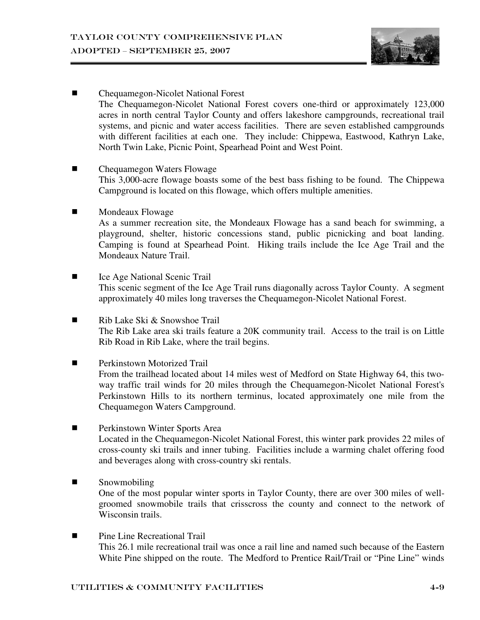

- Chequamegon-Nicolet National Forest The Chequamegon-Nicolet National Forest covers one-third or approximately 123,000 acres in north central Taylor County and offers lakeshore campgrounds, recreational trail systems, and picnic and water access facilities. There are seven established campgrounds with different facilities at each one. They include: Chippewa, Eastwood, Kathryn Lake, North Twin Lake, Picnic Point, Spearhead Point and West Point.
- Chequamegon Waters Flowage This 3,000-acre flowage boasts some of the best bass fishing to be found. The Chippewa Campground is located on this flowage, which offers multiple amenities.
- **Mondeaux Flowage**

As a summer recreation site, the Mondeaux Flowage has a sand beach for swimming, a playground, shelter, historic concessions stand, public picnicking and boat landing. Camping is found at Spearhead Point. Hiking trails include the Ice Age Trail and the Mondeaux Nature Trail.

- Ice Age National Scenic Trail This scenic segment of the Ice Age Trail runs diagonally across Taylor County. A segment approximately 40 miles long traverses the Chequamegon-Nicolet National Forest.
- $\blacksquare$  Rib Lake Ski & Snowshoe Trail The Rib Lake area ski trails feature a 20K community trail. Access to the trail is on Little Rib Road in Rib Lake, where the trail begins.
- **Perkinstown Motorized Trail** From the trailhead located about 14 miles west of Medford on State Highway 64, this twoway traffic trail winds for 20 miles through the Chequamegon-Nicolet National Forest's Perkinstown Hills to its northern terminus, located approximately one mile from the Chequamegon Waters Campground.
- **Perkinstown Winter Sports Area** Located in the Chequamegon-Nicolet National Forest, this winter park provides 22 miles of cross-county ski trails and inner tubing. Facilities include a warming chalet offering food and beverages along with cross-country ski rentals.

# **Snowmobiling**

One of the most popular winter sports in Taylor County, there are over 300 miles of wellgroomed snowmobile trails that crisscross the county and connect to the network of Wisconsin trails.

**Pine Line Recreational Trail** This 26.1 mile recreational trail was once a rail line and named such because of the Eastern White Pine shipped on the route. The Medford to Prentice Rail/Trail or "Pine Line" winds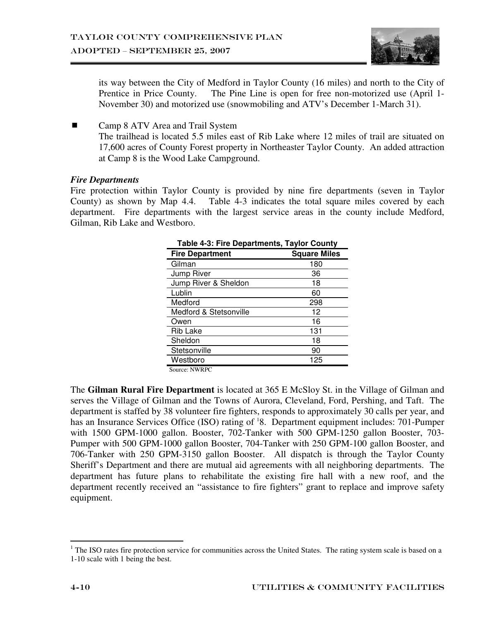

its way between the City of Medford in Taylor County (16 miles) and north to the City of Prentice in Price County. The Pine Line is open for free non-motorized use (April 1-November 30) and motorized use (snowmobiling and ATV's December 1-March 31).

■ Camp 8 ATV Area and Trail System The trailhead is located 5.5 miles east of Rib Lake where 12 miles of trail are situated on 17,600 acres of County Forest property in Northeaster Taylor County. An added attraction at Camp 8 is the Wood Lake Campground.

#### *Fire Departments*

Fire protection within Taylor County is provided by nine fire departments (seven in Taylor County) as shown by Map 4.4. Table 4-3 indicates the total square miles covered by each department. Fire departments with the largest service areas in the county include Medford, Gilman, Rib Lake and Westboro.

| <b>Table 4-3: Fire Departments, Taylor County</b> |                     |  |  |  |
|---------------------------------------------------|---------------------|--|--|--|
| <b>Fire Department</b>                            | <b>Square Miles</b> |  |  |  |
| Gilman                                            | 180                 |  |  |  |
| Jump River                                        | 36                  |  |  |  |
| Jump River & Sheldon                              | 18                  |  |  |  |
| Lublin                                            | 60                  |  |  |  |
| Medford                                           | 298                 |  |  |  |
| Medford & Stetsonville                            | 12                  |  |  |  |
| Owen                                              | 16                  |  |  |  |
| <b>Rib Lake</b>                                   | 131                 |  |  |  |
| Sheldon                                           | 18                  |  |  |  |
| Stetsonville                                      | 90                  |  |  |  |
| Westboro                                          | 125                 |  |  |  |
| $\alpha$ $\lambda$ $\mu$ $\eta$                   |                     |  |  |  |

Source: NWRPC

The **Gilman Rural Fire Department** is located at 365 E McSloy St. in the Village of Gilman and serves the Village of Gilman and the Towns of Aurora, Cleveland, Ford, Pershing, and Taft. The department is staffed by 38 volunteer fire fighters, responds to approximately 30 calls per year, and has an Insurance Services Office (ISO) rating of <sup>1</sup>8. Department equipment includes: 701-Pumper with 1500 GPM-1000 gallon. Booster, 702-Tanker with 500 GPM-1250 gallon Booster, 703- Pumper with 500 GPM-1000 gallon Booster, 704-Tanker with 250 GPM-100 gallon Booster, and 706-Tanker with 250 GPM-3150 gallon Booster. All dispatch is through the Taylor County Sheriff's Department and there are mutual aid agreements with all neighboring departments. The department has future plans to rehabilitate the existing fire hall with a new roof, and the department recently received an "assistance to fire fighters" grant to replace and improve safety equipment.

<sup>&</sup>lt;sup>1</sup> The ISO rates fire protection service for communities across the United States. The rating system scale is based on a 1-10 scale with 1 being the best.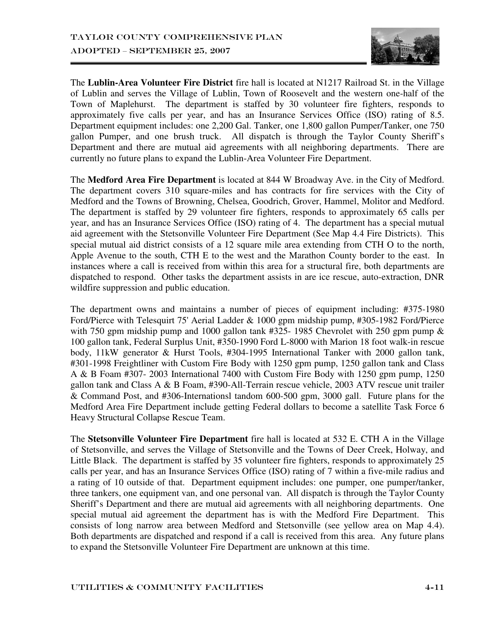

The **Lublin-Area Volunteer Fire District** fire hall is located at N1217 Railroad St. in the Village of Lublin and serves the Village of Lublin, Town of Roosevelt and the western one-half of the Town of Maplehurst. The department is staffed by 30 volunteer fire fighters, responds to approximately five calls per year, and has an Insurance Services Office (ISO) rating of 8.5. Department equipment includes: one 2,200 Gal. Tanker, one 1,800 gallon Pumper/Tanker, one 750 gallon Pumper, and one brush truck. All dispatch is through the Taylor County Sheriff's Department and there are mutual aid agreements with all neighboring departments. There are currently no future plans to expand the Lublin-Area Volunteer Fire Department.

The **Medford Area Fire Department** is located at 844 W Broadway Ave. in the City of Medford. The department covers 310 square-miles and has contracts for fire services with the City of Medford and the Towns of Browning, Chelsea, Goodrich, Grover, Hammel, Molitor and Medford. The department is staffed by 29 volunteer fire fighters, responds to approximately 65 calls per year, and has an Insurance Services Office (ISO) rating of 4. The department has a special mutual aid agreement with the Stetsonville Volunteer Fire Department (See Map 4.4 Fire Districts). This special mutual aid district consists of a 12 square mile area extending from CTH O to the north, Apple Avenue to the south, CTH E to the west and the Marathon County border to the east. In instances where a call is received from within this area for a structural fire, both departments are dispatched to respond. Other tasks the department assists in are ice rescue, auto-extraction, DNR wildfire suppression and public education.

The department owns and maintains a number of pieces of equipment including: #375-1980 Ford/Pierce with Telesquirt 75' Aerial Ladder & 1000 gpm midship pump, #305-1982 Ford/Pierce with 750 gpm midship pump and 1000 gallon tank #325- 1985 Chevrolet with 250 gpm pump & 100 gallon tank, Federal Surplus Unit, #350-1990 Ford L-8000 with Marion 18 foot walk-in rescue body, 11kW generator & Hurst Tools, #304-1995 International Tanker with 2000 gallon tank, #301-1998 Freightliner with Custom Fire Body with 1250 gpm pump, 1250 gallon tank and Class A & B Foam #307- 2003 International 7400 with Custom Fire Body with 1250 gpm pump, 1250 gallon tank and Class A & B Foam, #390-All-Terrain rescue vehicle, 2003 ATV rescue unit trailer & Command Post, and #306-Internationsl tandom 600-500 gpm, 3000 gall. Future plans for the Medford Area Fire Department include getting Federal dollars to become a satellite Task Force 6 Heavy Structural Collapse Rescue Team.

The **Stetsonville Volunteer Fire Department** fire hall is located at 532 E. CTH A in the Village of Stetsonville, and serves the Village of Stetsonville and the Towns of Deer Creek, Holway, and Little Black. The department is staffed by 35 volunteer fire fighters, responds to approximately 25 calls per year, and has an Insurance Services Office (ISO) rating of 7 within a five-mile radius and a rating of 10 outside of that. Department equipment includes: one pumper, one pumper/tanker, three tankers, one equipment van, and one personal van. All dispatch is through the Taylor County Sheriff's Department and there are mutual aid agreements with all neighboring departments. One special mutual aid agreement the department has is with the Medford Fire Department. This consists of long narrow area between Medford and Stetsonville (see yellow area on Map 4.4). Both departments are dispatched and respond if a call is received from this area. Any future plans to expand the Stetsonville Volunteer Fire Department are unknown at this time.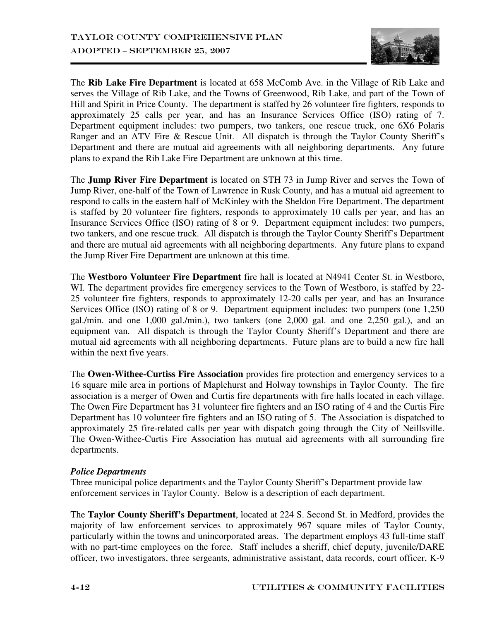

The **Rib Lake Fire Department** is located at 658 McComb Ave. in the Village of Rib Lake and serves the Village of Rib Lake, and the Towns of Greenwood, Rib Lake, and part of the Town of Hill and Spirit in Price County. The department is staffed by 26 volunteer fire fighters, responds to approximately 25 calls per year, and has an Insurance Services Office (ISO) rating of 7. Department equipment includes: two pumpers, two tankers, one rescue truck, one 6X6 Polaris Ranger and an ATV Fire & Rescue Unit. All dispatch is through the Taylor County Sheriff's Department and there are mutual aid agreements with all neighboring departments. Any future plans to expand the Rib Lake Fire Department are unknown at this time.

The **Jump River Fire Department** is located on STH 73 in Jump River and serves the Town of Jump River, one-half of the Town of Lawrence in Rusk County, and has a mutual aid agreement to respond to calls in the eastern half of McKinley with the Sheldon Fire Department. The department is staffed by 20 volunteer fire fighters, responds to approximately 10 calls per year, and has an Insurance Services Office (ISO) rating of 8 or 9. Department equipment includes: two pumpers, two tankers, and one rescue truck. All dispatch is through the Taylor County Sheriff's Department and there are mutual aid agreements with all neighboring departments. Any future plans to expand the Jump River Fire Department are unknown at this time.

The **Westboro Volunteer Fire Department** fire hall is located at N4941 Center St. in Westboro, WI. The department provides fire emergency services to the Town of Westboro, is staffed by 22-25 volunteer fire fighters, responds to approximately 12-20 calls per year, and has an Insurance Services Office (ISO) rating of 8 or 9. Department equipment includes: two pumpers (one 1,250) gal./min. and one 1,000 gal./min.), two tankers (one 2,000 gal. and one 2,250 gal.), and an equipment van. All dispatch is through the Taylor County Sheriff's Department and there are mutual aid agreements with all neighboring departments. Future plans are to build a new fire hall within the next five years.

The **Owen-Withee-Curtiss Fire Association** provides fire protection and emergency services to a 16 square mile area in portions of Maplehurst and Holway townships in Taylor County. The fire association is a merger of Owen and Curtis fire departments with fire halls located in each village. The Owen Fire Department has 31 volunteer fire fighters and an ISO rating of 4 and the Curtis Fire Department has 10 volunteer fire fighters and an ISO rating of 5. The Association is dispatched to approximately 25 fire-related calls per year with dispatch going through the City of Neillsville. The Owen-Withee-Curtis Fire Association has mutual aid agreements with all surrounding fire departments.

## *Police Departments*

Three municipal police departments and the Taylor County Sheriff's Department provide law enforcement services in Taylor County. Below is a description of each department.

The **Taylor County Sheriff's Department**, located at 224 S. Second St. in Medford, provides the majority of law enforcement services to approximately 967 square miles of Taylor County, particularly within the towns and unincorporated areas. The department employs 43 full-time staff with no part-time employees on the force. Staff includes a sheriff, chief deputy, juvenile/DARE officer, two investigators, three sergeants, administrative assistant, data records, court officer, K-9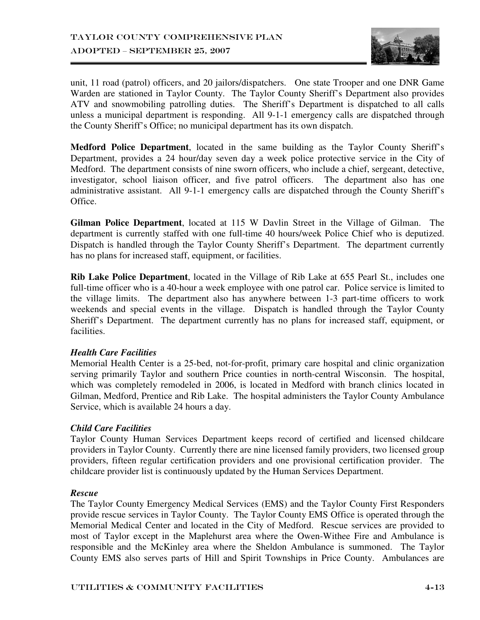

unit, 11 road (patrol) officers, and 20 jailors/dispatchers. One state Trooper and one DNR Game Warden are stationed in Taylor County. The Taylor County Sheriff's Department also provides ATV and snowmobiling patrolling duties. The Sheriff's Department is dispatched to all calls unless a municipal department is responding. All 9-1-1 emergency calls are dispatched through the County Sheriff's Office; no municipal department has its own dispatch.

**Medford Police Department**, located in the same building as the Taylor County Sheriff's Department, provides a 24 hour/day seven day a week police protective service in the City of Medford. The department consists of nine sworn officers, who include a chief, sergeant, detective, investigator, school liaison officer, and five patrol officers. The department also has one administrative assistant. All 9-1-1 emergency calls are dispatched through the County Sheriff's Office.

**Gilman Police Department**, located at 115 W Davlin Street in the Village of Gilman. The department is currently staffed with one full-time 40 hours/week Police Chief who is deputized. Dispatch is handled through the Taylor County Sheriff's Department. The department currently has no plans for increased staff, equipment, or facilities.

**Rib Lake Police Department**, located in the Village of Rib Lake at 655 Pearl St., includes one full-time officer who is a 40-hour a week employee with one patrol car. Police service is limited to the village limits. The department also has anywhere between 1-3 part-time officers to work weekends and special events in the village. Dispatch is handled through the Taylor County Sheriff's Department. The department currently has no plans for increased staff, equipment, or facilities.

## *Health Care Facilities*

Memorial Health Center is a 25-bed, not-for-profit, primary care hospital and clinic organization serving primarily Taylor and southern Price counties in north-central Wisconsin. The hospital, which was completely remodeled in 2006, is located in Medford with branch clinics located in Gilman, Medford, Prentice and Rib Lake. The hospital administers the Taylor County Ambulance Service, which is available 24 hours a day.

## *Child Care Facilities*

Taylor County Human Services Department keeps record of certified and licensed childcare providers in Taylor County. Currently there are nine licensed family providers, two licensed group providers, fifteen regular certification providers and one provisional certification provider. The childcare provider list is continuously updated by the Human Services Department.

## *Rescue*

The Taylor County Emergency Medical Services (EMS) and the Taylor County First Responders provide rescue services in Taylor County. The Taylor County EMS Office is operated through the Memorial Medical Center and located in the City of Medford. Rescue services are provided to most of Taylor except in the Maplehurst area where the Owen-Withee Fire and Ambulance is responsible and the McKinley area where the Sheldon Ambulance is summoned. The Taylor County EMS also serves parts of Hill and Spirit Townships in Price County. Ambulances are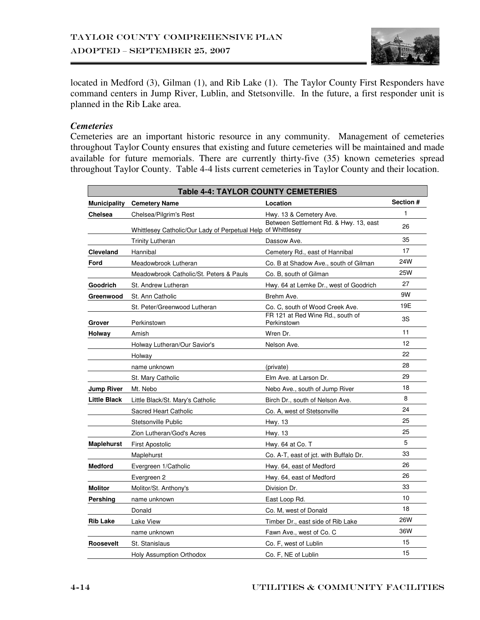

located in Medford (3), Gilman (1), and Rib Lake (1). The Taylor County First Responders have command centers in Jump River, Lublin, and Stetsonville. In the future, a first responder unit is planned in the Rib Lake area.

#### *Cemeteries*

Cemeteries are an important historic resource in any community. Management of cemeteries throughout Taylor County ensures that existing and future cemeteries will be maintained and made available for future memorials. There are currently thirty-five (35) known cemeteries spread throughout Taylor County. Table 4-4 lists current cemeteries in Taylor County and their location.

| <b>Table 4-4: TAYLOR COUNTY CEMETERIES</b> |                                                              |                                                 |            |  |
|--------------------------------------------|--------------------------------------------------------------|-------------------------------------------------|------------|--|
| <b>Municipality</b>                        | <b>Cemetery Name</b>                                         | Location                                        | Section #  |  |
| Chelsea                                    | Chelsea/Pilgrim's Rest                                       | Hwy. 13 & Cemetery Ave.                         | 1          |  |
|                                            | Whittlesey Catholic/Our Lady of Perpetual Help of Whittlesey | Between Settlement Rd. & Hwy. 13, east          | 26         |  |
|                                            | <b>Trinity Lutheran</b>                                      | Dassow Ave.                                     | 35         |  |
| Cleveland                                  | Hannibal                                                     | Cemetery Rd., east of Hannibal                  | 17         |  |
| Ford                                       | Meadowbrook Lutheran                                         | Co. B at Shadow Ave., south of Gilman           | 24W        |  |
|                                            | Meadowbrook Catholic/St. Peters & Pauls                      | Co. B, south of Gilman                          | <b>25W</b> |  |
| Goodrich                                   | St. Andrew Lutheran                                          | Hwy. 64 at Lemke Dr., west of Goodrich          | 27         |  |
| Greenwood                                  | St. Ann Catholic                                             | Brehm Ave.                                      | 9W         |  |
|                                            | St. Peter/Greenwood Lutheran                                 | Co. C, south of Wood Creek Ave.                 | 19E        |  |
| Grover                                     | Perkinstown                                                  | FR 121 at Red Wine Rd., south of<br>Perkinstown | 3S         |  |
| Holway                                     | Amish                                                        | Wren Dr.                                        | 11         |  |
|                                            | Holway Lutheran/Our Savior's                                 | Nelson Ave.                                     | 12         |  |
|                                            | Holway                                                       |                                                 | 22         |  |
|                                            | name unknown                                                 | (private)                                       | 28         |  |
|                                            | St. Mary Catholic                                            | Elm Ave. at Larson Dr.                          | 29         |  |
| <b>Jump River</b>                          | Mt. Nebo                                                     | Nebo Ave., south of Jump River                  | 18         |  |
| <b>Little Black</b>                        | Little Black/St. Mary's Catholic                             | Birch Dr., south of Nelson Ave.                 | 8          |  |
|                                            | <b>Sacred Heart Catholic</b>                                 | Co. A, west of Stetsonville                     | 24         |  |
|                                            | Stetsonville Public                                          | Hwy. 13                                         | 25         |  |
|                                            | Zion Lutheran/God's Acres                                    | Hwy. 13                                         | 25         |  |
| <b>Maplehurst</b>                          | <b>First Apostolic</b>                                       | Hwy. 64 at Co. T                                | 5          |  |
|                                            | Maplehurst                                                   | Co. A-T, east of jct. with Buffalo Dr.          | 33         |  |
| <b>Medford</b>                             | Evergreen 1/Catholic                                         | Hwy. 64, east of Medford                        | 26         |  |
|                                            | Evergreen 2                                                  | Hwy. 64, east of Medford                        | 26         |  |
| <b>Molitor</b>                             | Molitor/St. Anthony's                                        | Division Dr.                                    | 33         |  |
| Pershing                                   | name unknown                                                 | East Loop Rd.                                   | 10         |  |
|                                            | Donald                                                       | Co. M, west of Donald                           | 18         |  |
| <b>Rib Lake</b>                            | Lake View                                                    | Timber Dr., east side of Rib Lake               | <b>26W</b> |  |
|                                            | name unknown                                                 | Fawn Ave., west of Co. C                        | 36W        |  |
| Roosevelt                                  | St. Stanislaus                                               | Co. F, west of Lublin                           | 15         |  |
|                                            | Holy Assumption Orthodox                                     | Co. F, NE of Lublin                             | 15         |  |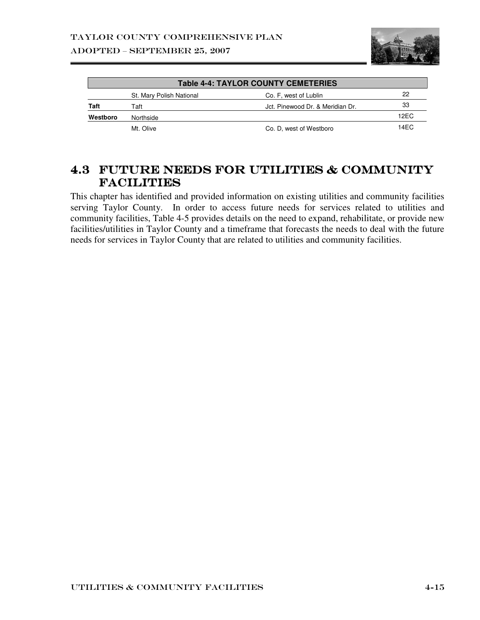

| <b>Table 4-4: TAYLOR COUNTY CEMETERIES</b> |                          |                                  |      |  |
|--------------------------------------------|--------------------------|----------------------------------|------|--|
|                                            | St. Mary Polish National | Co. F, west of Lublin            | 22   |  |
| Taft                                       | Taft                     | Jct. Pinewood Dr. & Meridian Dr. | 33   |  |
| Westboro                                   | Northside                |                                  | 12EC |  |
|                                            | Mt. Olive                | Co. D, west of Westboro          | 14FC |  |

## 4.3 Future Needs for Utilities & Community & Community **FACILITIES**

This chapter has identified and provided information on existing utilities and community facilities serving Taylor County. In order to access future needs for services related to utilities and community facilities, Table 4-5 provides details on the need to expand, rehabilitate, or provide new facilities/utilities in Taylor County and a timeframe that forecasts the needs to deal with the future needs for services in Taylor County that are related to utilities and community facilities.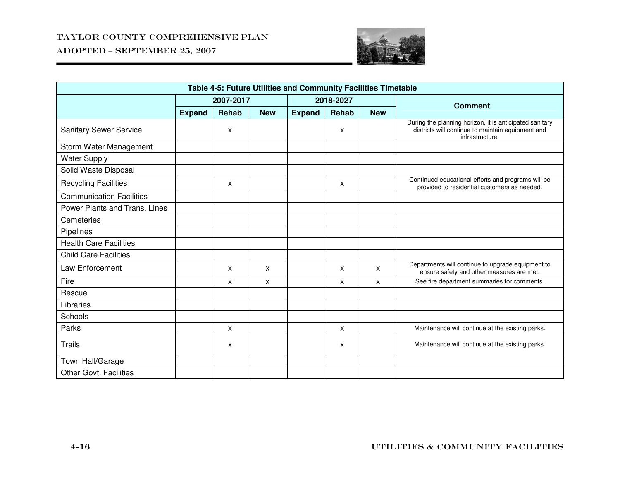ADOPTED – SEPTEMBER 25, 2007



| Table 4-5: Future Utilities and Community Facilities Timetable |               |       |            |               |              |            |                                                                                                                                 |  |
|----------------------------------------------------------------|---------------|-------|------------|---------------|--------------|------------|---------------------------------------------------------------------------------------------------------------------------------|--|
|                                                                | 2007-2017     |       | 2018-2027  |               |              |            |                                                                                                                                 |  |
|                                                                | <b>Expand</b> | Rehab | <b>New</b> | <b>Expand</b> | <b>Rehab</b> | <b>New</b> | <b>Comment</b>                                                                                                                  |  |
| <b>Sanitary Sewer Service</b>                                  |               | X     |            |               | X            |            | During the planning horizon, it is anticipated sanitary<br>districts will continue to maintain equipment and<br>infrastructure. |  |
| Storm Water Management                                         |               |       |            |               |              |            |                                                                                                                                 |  |
| <b>Water Supply</b>                                            |               |       |            |               |              |            |                                                                                                                                 |  |
| Solid Waste Disposal                                           |               |       |            |               |              |            |                                                                                                                                 |  |
| <b>Recycling Facilities</b>                                    |               | X     |            |               | X            |            | Continued educational efforts and programs will be<br>provided to residential customers as needed.                              |  |
| <b>Communication Facilities</b>                                |               |       |            |               |              |            |                                                                                                                                 |  |
| Power Plants and Trans. Lines                                  |               |       |            |               |              |            |                                                                                                                                 |  |
| Cemeteries                                                     |               |       |            |               |              |            |                                                                                                                                 |  |
| Pipelines                                                      |               |       |            |               |              |            |                                                                                                                                 |  |
| <b>Health Care Facilities</b>                                  |               |       |            |               |              |            |                                                                                                                                 |  |
| <b>Child Care Facilities</b>                                   |               |       |            |               |              |            |                                                                                                                                 |  |
| Law Enforcement                                                |               | X     | X          |               | X            | X          | Departments will continue to upgrade equipment to<br>ensure safety and other measures are met.                                  |  |
| Fire                                                           |               | X     | X          |               | X            | x          | See fire department summaries for comments.                                                                                     |  |
| Rescue                                                         |               |       |            |               |              |            |                                                                                                                                 |  |
| Libraries                                                      |               |       |            |               |              |            |                                                                                                                                 |  |
| Schools                                                        |               |       |            |               |              |            |                                                                                                                                 |  |
| Parks                                                          |               | X     |            |               | X            |            | Maintenance will continue at the existing parks.                                                                                |  |
| <b>Trails</b>                                                  |               | X     |            |               | X            |            | Maintenance will continue at the existing parks.                                                                                |  |
| Town Hall/Garage                                               |               |       |            |               |              |            |                                                                                                                                 |  |
| <b>Other Govt. Facilities</b>                                  |               |       |            |               |              |            |                                                                                                                                 |  |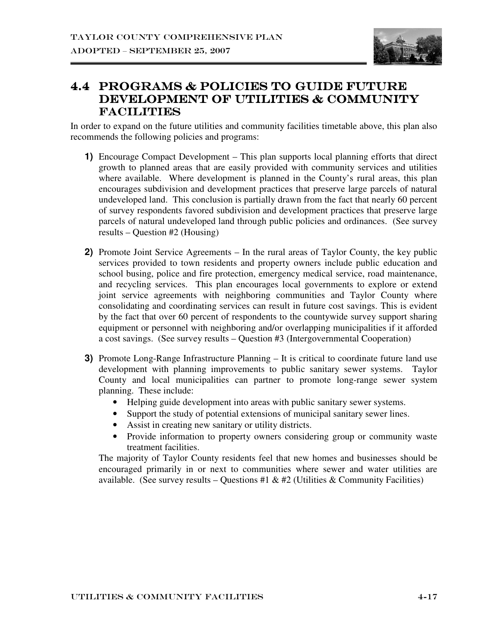

## 4.4 PROGRAMS & POLICIES TO GUIDE FUTURE DEVELOPMENT OF UTILITIES & COMMUNITY **FACILITIES**

In order to expand on the future utilities and community facilities timetable above, this plan also recommends the following policies and programs:

- **1)** Encourage Compact Development This plan supports local planning efforts that direct growth to planned areas that are easily provided with community services and utilities where available. Where development is planned in the County's rural areas, this plan encourages subdivision and development practices that preserve large parcels of natural undeveloped land. This conclusion is partially drawn from the fact that nearly 60 percent of survey respondents favored subdivision and development practices that preserve large parcels of natural undeveloped land through public policies and ordinances. (See survey results – Question #2 (Housing)
- **2)** Promote Joint Service Agreements In the rural areas of Taylor County, the key public services provided to town residents and property owners include public education and school busing, police and fire protection, emergency medical service, road maintenance, and recycling services. This plan encourages local governments to explore or extend joint service agreements with neighboring communities and Taylor County where consolidating and coordinating services can result in future cost savings. This is evident by the fact that over 60 percent of respondents to the countywide survey support sharing equipment or personnel with neighboring and/or overlapping municipalities if it afforded a cost savings. (See survey results – Question #3 (Intergovernmental Cooperation)
- **3)** Promote Long-Range Infrastructure Planning It is critical to coordinate future land use development with planning improvements to public sanitary sewer systems. Taylor County and local municipalities can partner to promote long-range sewer system planning. These include:
	- Helping guide development into areas with public sanitary sewer systems.
	- Support the study of potential extensions of municipal sanitary sewer lines.
	- Assist in creating new sanitary or utility districts.
	- Provide information to property owners considering group or community waste treatment facilities.

The majority of Taylor County residents feel that new homes and businesses should be encouraged primarily in or next to communities where sewer and water utilities are available. (See survey results – Questions #1 & #2 (Utilities & Community Facilities)